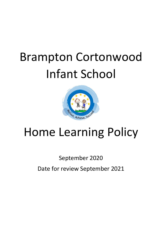# Brampton Cortonwood Infant School



## Home Learning Policy

September 2020

Date for review September 2021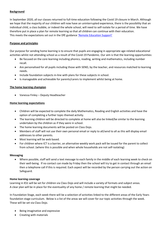#### **Background**

In September 2020, all our classes returned to full-time education following the Covid 19 closure in March. Although we hope that the majority of our children will now have an uninterrupted experience, there is the possibility that an individual child, a class bubble, or indeed the whole school, will need to self-isolate for a period of time. We have therefore put in place a plan for remote learning so that all children can continue with their education. This meets the expectations set out in the DfE guidance ['Remote Education Support'](https://www.gov.uk/guidance/remote-education-during-coronavirus-covid-19)

#### **Purpose and principles**

Our purpose for sending home learning is to ensure that pupils are engaging in appropriate age-related educational activities whilst not attending school as a result of the Covid-19 Pandemic. Our aim is that the learning opportunities:

- Be focused on the core learning including phonics, reading, writing and mathematics, including number recall.
- Are personalised for all pupils including those with SEND, by the teacher, and resources matched to learning needs.
- Include foundation subjects in-line with plans for these subjects in school.
- Is manageable and achievable for parents/carers to implement whilst being at home.

#### **The home learning champion**

Vanessa Finley – Deputy Headteacher

#### **Home learning expectations**

- Children will be expected to complete the daily Mathematics, Reading and English activities and have the option of completing a further topic-themed activity.
- The learning children will be directed to complete at home will also be linked/be similar to the learning undertaken by the children as if they were in school.
- The home learning documents will be posted on Class Dojo.
- Members of staff will not use their own personal email or reply to all/send to all as this will display email addresses to other parents.
- Most learning will be web based.
- For children where ICT is a barrier, an alternative weekly work pack will be issued for the parent to collect from school. (where this is possible and when whole households are not self-isolating)

#### **Messaging**

 Where possible, staff will send a text message to each family in the middle of each learning week to check on their well-being. If no contact can made by Friday then the school will try to get in contact through an email then a telephone call if this is required. Each aspect will be recorded by the person carrying out the action on Safeguard.

#### **Home learning coverage**

Learning in KS1 will be set for children via Class Dojo and will include a variety of formats and subject areas. A clear plan will be in place for the eventuality of any home / remote learning that might be needed.

In Foundation Stage, each week there will be a selection of activities linked to the different areas of the Early Years foundation stage curriculum. Below is a list of the areas we will cover for our topic activities through the week. These will be set via Class Dojo.

- Being imaginative and expressive
- Creating with materials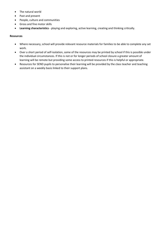- The natural world
- Past and present
- People, culture and communities
- Gross and fine motor skills
- **Learning characteristics**  playing and exploring, active learning, creating and thinking critically.

#### **Resources**

- Where necessary, school will provide relevant resource materials for families to be able to complete any set work.
- Over a short period of self-isolation, some of the resources may be printed by school if this is possible under the individual circumstances. If this is not or for longer periods of school closure a greater amount of learning will be remote but providing some access to printed resources if this is helpful or appropriate.
- Resources for SEND pupils to personalise their learning will be provided by the class teacher and teaching assistant on a weekly basis linked to their support plans.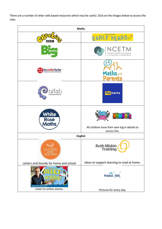There are a number of other web based resources which may be useful. Click on the images below to access the sites.

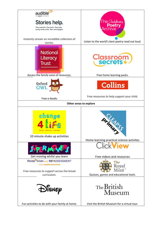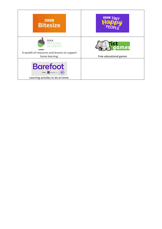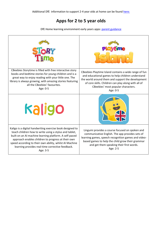## **Apps for 2 to 5 year olds**

DfE Home learning environment early years apps: [parent guidance](https://www.gov.uk/government/publications/early-years-apps-pilot-home-learning-environment/home-learning-environment-early-years-apps-parent-guidance)

| CBeebies Storytime is filled with free interactive story<br>books and bedtime stories for young children and is a<br>great way to enjoy reading with your little one. The<br>library is always growing, with amazing stories featuring<br>all the CBeebies' favourites.<br>Age: 0-5                                                                            | CBeebies Playtime Island contains a wide range of fun<br>and educational games to help children understand<br>the world around them and support the development<br>of core skills. Children can play along with all of<br>CBeebies' most popular characters.<br>Age: 0-5 |  |
|----------------------------------------------------------------------------------------------------------------------------------------------------------------------------------------------------------------------------------------------------------------------------------------------------------------------------------------------------------------|--------------------------------------------------------------------------------------------------------------------------------------------------------------------------------------------------------------------------------------------------------------------------|--|
| Kaligo                                                                                                                                                                                                                                                                                                                                                         |                                                                                                                                                                                                                                                                          |  |
| Kaligo is a digital handwriting exercise book designed to<br>teach children how to write using a stylus and tablet,<br>built on an AI machine learning platform. A self-paced<br>approach enables children to progress at their own<br>speed according to their own ability, whilst AI Machine<br>learning provides real-time corrective feedback.<br>Age: 3-5 | Lingumi provides a course focused on spoken and<br>communicative English. The app provides sets of<br>learning games, speech recognition games and video-<br>based games to help the child grow their grammar<br>and get them speaking their first words.<br>Age: 2-5    |  |